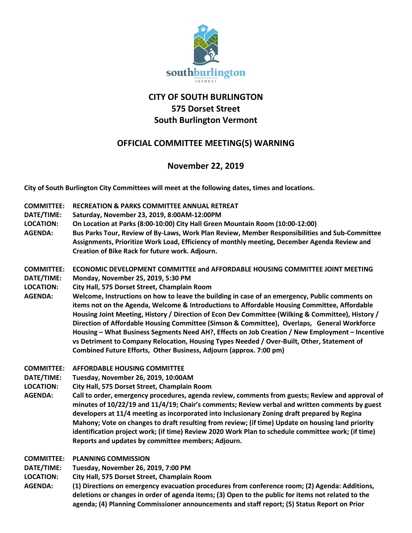

## **CITY OF SOUTH BURLINGTON 575 Dorset Street South Burlington Vermont**

## **OFFICIAL COMMITTEE MEETING(S) WARNING**

## **November 22, 2019**

**City of South Burlington City Committees will meet at the following dates, times and locations.** 

- **COMMITTEE: RECREATION & PARKS COMMITTEE ANNUAL RETREAT**
- **DATE/TIME: Saturday, November 23, 2019, 8:00AM-12:00PM**
- **LOCATION: On Location at Parks (8:00-10:00) City Hall Green Mountain Room (10:00-12:00)**
- **AGENDA: Bus Parks Tour, Review of By-Laws, Work Plan Review, Member Responsibilities and Sub-Committee Assignments, Prioritize Work Load, Efficiency of monthly meeting, December Agenda Review and Creation of Bike Rack for future work. Adjourn.**

**COMMITTEE: ECONOMIC DEVELOPMENT COMMITTEE and AFFORDABLE HOUSING COMMITTEE JOINT MEETING**

- **DATE/TIME: Monday, November 25, 2019, 5:30 PM**
- **LOCATION: City Hall, 575 Dorset Street, Champlain Room**
- **AGENDA: Welcome, Instructions on how to leave the building in case of an emergency, Public comments on items not on the Agenda, Welcome & Introductions to Affordable Housing Committee, Affordable Housing Joint Meeting, History / Direction of Econ Dev Committee (Wilking & Committee), History / Direction of Affordable Housing Committee (Simson & Committee), Overlaps, General Workforce Housing – What Business Segments Need AH?, Effects on Job Creation / New Employment – Incentive vs Detriment to Company Relocation, Housing Types Needed / Over-Built, Other, Statement of Combined Future Efforts, Other Business, Adjourn (approx. 7:00 pm)**
- **COMMITTEE: AFFORDABLE HOUSING COMMITTEE**
- **DATE/TIME: Tuesday, November 26, 2019, 10:00AM**
- **LOCATION: City Hall, 575 Dorset Street, Champlain Room**
- **AGENDA: Call to order, emergency procedures, agenda review, comments from guests; Review and approval of minutes of 10/22/19 and 11/4/19; Chair's comments; Review verbal and written comments by guest developers at 11/4 meeting as incorporated into Inclusionary Zoning draft prepared by Regina Mahony; Vote on changes to draft resulting from review; (if time) Update on housing land priority identification project work; (if time) Review 2020 Work Plan to schedule committee work; (if time) Reports and updates by committee members; Adjourn.**
- **COMMITTEE: PLANNING COMMISSION**

**DATE/TIME: Tuesday, November 26, 2019, 7:00 PM**

- **LOCATION: City Hall, 575 Dorset Street, Champlain Room**
- **AGENDA: (1) Directions on emergency evacuation procedures from conference room; (2) Agenda: Additions, deletions or changes in order of agenda items; (3) Open to the public for items not related to the agenda; (4) Planning Commissioner announcements and staff report; (5) Status Report on Prior**